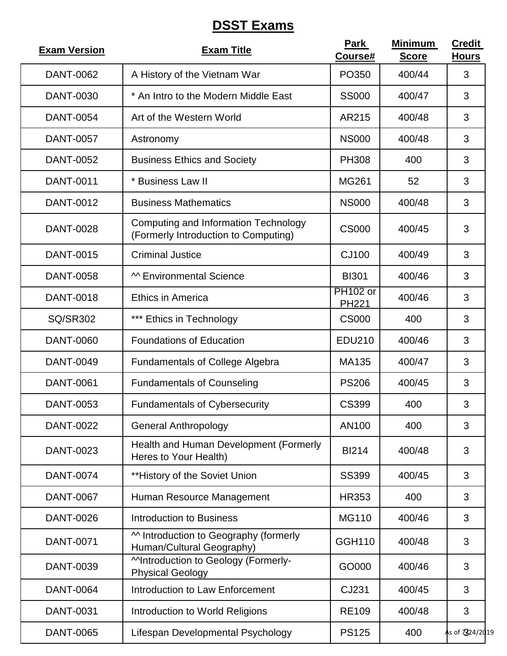## **DSST Exams**

| <b>Exam Version</b> | <b>Exam Title</b>                                                                   | <b>Park</b><br>Course#     | <b>Minimum</b><br><b>Score</b> | <b>Credit</b><br><b>Hours</b> |
|---------------------|-------------------------------------------------------------------------------------|----------------------------|--------------------------------|-------------------------------|
| <b>DANT-0062</b>    | A History of the Vietnam War                                                        | PO350                      | 400/44                         | 3                             |
| <b>DANT-0030</b>    | * An Intro to the Modern Middle East                                                | <b>SS000</b>               | 400/47                         | 3                             |
| <b>DANT-0054</b>    | Art of the Western World                                                            | AR215                      | 400/48                         | 3                             |
| <b>DANT-0057</b>    | Astronomy                                                                           | <b>NS000</b>               | 400/48                         | 3                             |
| <b>DANT-0052</b>    | <b>Business Ethics and Society</b>                                                  | <b>PH308</b>               | 400                            | 3                             |
| <b>DANT-0011</b>    | * Business Law II                                                                   | <b>MG261</b>               | 52                             | 3                             |
| DANT-0012           | <b>Business Mathematics</b>                                                         | <b>NS000</b>               | 400/48                         | 3                             |
| <b>DANT-0028</b>    | <b>Computing and Information Technology</b><br>(Formerly Introduction to Computing) | <b>CS000</b>               | 400/45                         | 3                             |
| <b>DANT-0015</b>    | <b>Criminal Justice</b>                                                             | CJ100                      | 400/49                         | 3                             |
| <b>DANT-0058</b>    | M Environmental Science                                                             | <b>BI301</b>               | 400/46                         | 3                             |
| <b>DANT-0018</b>    | <b>Ethics in America</b>                                                            | $PH102$ or<br><b>PH221</b> | 400/46                         | 3                             |
| <b>SQ/SR302</b>     | *** Ethics in Technology                                                            | <b>CS000</b>               | 400                            | 3                             |
| <b>DANT-0060</b>    | <b>Foundations of Education</b>                                                     | EDU210                     | 400/46                         | 3                             |
| <b>DANT-0049</b>    | <b>Fundamentals of College Algebra</b>                                              | MA135                      | 400/47                         | 3                             |
| <b>DANT-0061</b>    | <b>Fundamentals of Counseling</b>                                                   | <b>PS206</b>               | 400/45                         | 3                             |
| <b>DANT-0053</b>    | <b>Fundamentals of Cybersecurity</b>                                                | <b>CS399</b>               | 400                            | 3                             |
| <b>DANT-0022</b>    | <b>General Anthropology</b>                                                         | AN100                      | 400                            | 3                             |
| DANT-0023           | Health and Human Development (Formerly<br>Heres to Your Health)                     | <b>BI214</b>               | 400/48                         | 3                             |
| <b>DANT-0074</b>    | ** History of the Soviet Union                                                      | <b>SS399</b>               | 400/45                         | 3                             |
| <b>DANT-0067</b>    | Human Resource Management                                                           | <b>HR353</b>               | 400                            | 3                             |
| <b>DANT-0026</b>    | <b>Introduction to Business</b>                                                     | <b>MG110</b>               | 400/46                         | 3                             |
| <b>DANT-0071</b>    | M Introduction to Geography (formerly<br>Human/Cultural Geography)                  | <b>GGH110</b>              | 400/48                         | 3                             |
| DANT-0039           | MIntroduction to Geology (Formerly-<br><b>Physical Geology</b>                      | GO000                      | 400/46                         | 3                             |
| <b>DANT-0064</b>    | <b>Introduction to Law Enforcement</b>                                              | CJ231                      | 400/45                         | 3                             |
| <b>DANT-0031</b>    | Introduction to World Religions                                                     | <b>RE109</b>               | 400/48                         | 3                             |
| <b>DANT-0065</b>    | Lifespan Developmental Psychology                                                   | <b>PS125</b>               | 400                            | As of 7324/2019               |